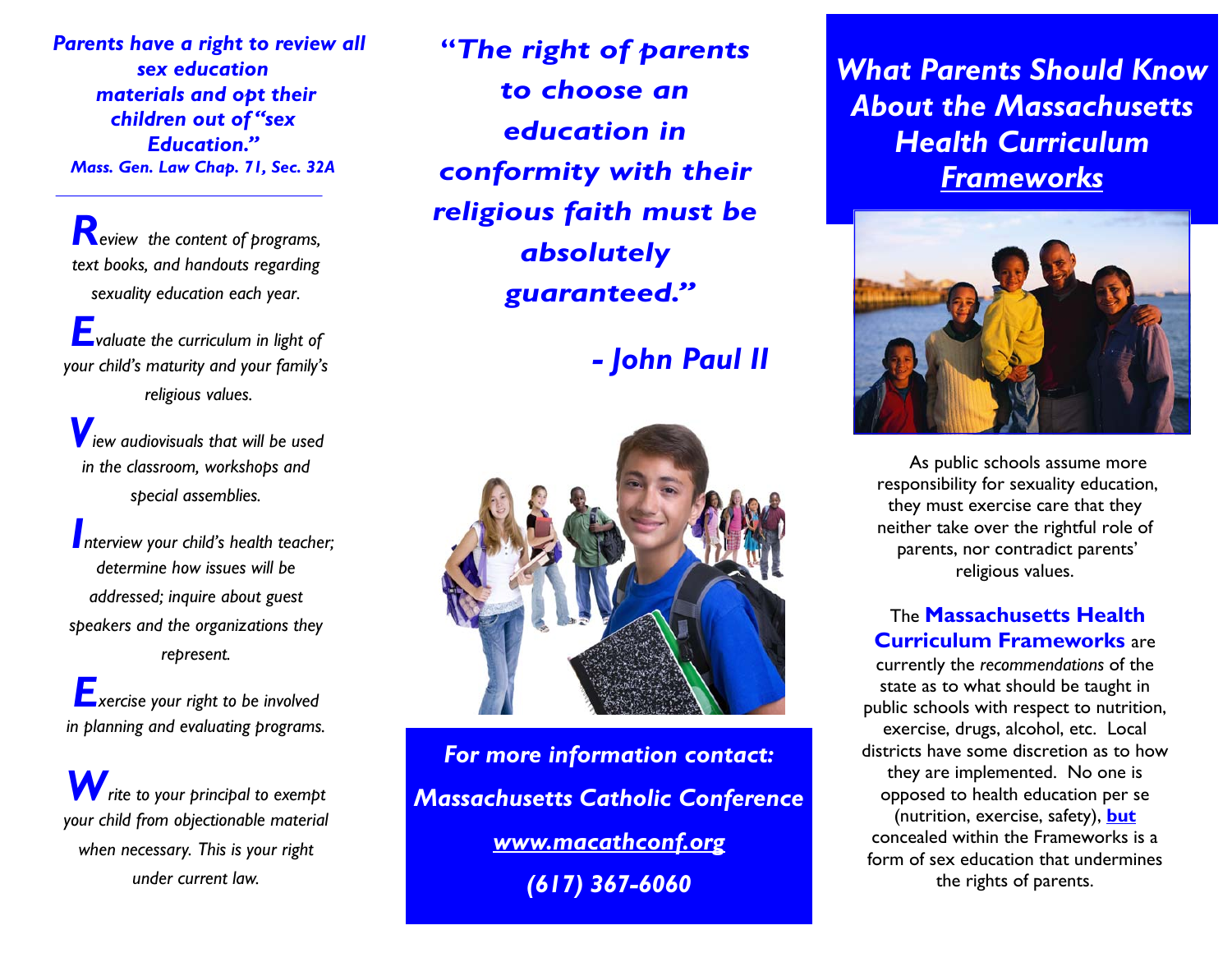*Parents have a right to review all sex education materials and opt their children out of "sex Education." Mass. Gen. Law Chap. 71, Sec. 32A* 

*Review the content of programs, text books, and handouts regarding sexuality education each year.*

*Evaluate the curriculum in light of your child's maturity and your family's religious values.*

*View audiovisuals that will be used in the classroom, workshops and special assemblies.*

*Interview your child's health teacher; determine how issues will be addressed; inquire about guest speakers and the organizations they represent.*

*Exercise your right to be involved in planning and evaluating programs.* 

*Write to your principal to exempt your child from objectionable material when necessary. This is your right under current law.*

**"***The right of parents to choose an education in conformity with their religious faith must be absolutely guaranteed."* 

*- John Paul II* 



Phone: 555- *www.macathconf.org* Fax: 555-555-*(617) 367-6060 For more information contact: Massachusetts Catholic Conference*  *What Parents Should Know About the Massachusetts Health Curriculum Frameworks*



 As public schools assume more responsibility for sexuality education, they must exercise care that they neither take over the rightful role of parents, nor contradict parents' religious values.

The **Massachusetts Health Curriculum Frameworks** are

currently the *recommendations* of the state as to what should be taught in public schools with respect to nutrition, exercise, drugs, alcohol, etc. Local districts have some discretion as to how they are implemented. No one is opposed to health education per se (nutrition, exercise, safety), **but** concealed within the Frameworks is a form of sex education that undermines the rights of parents.